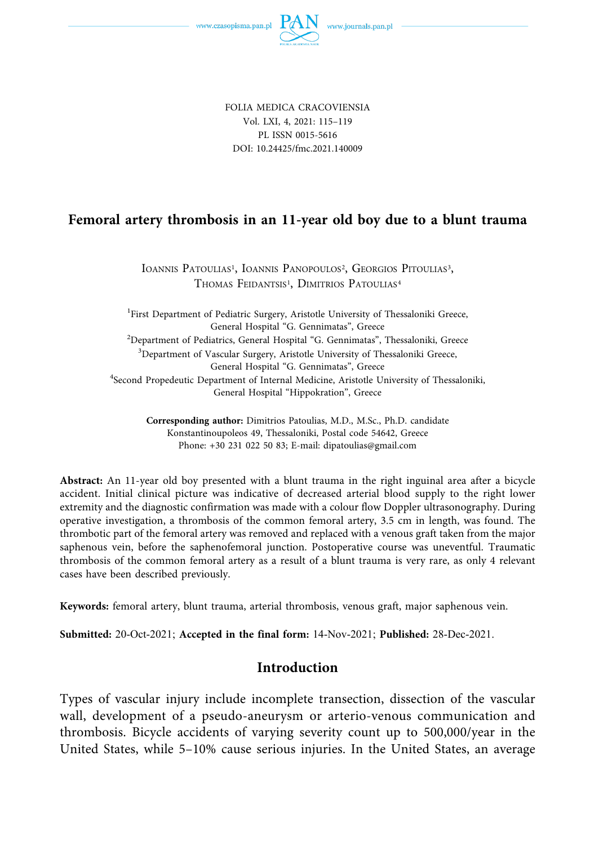

FOLIA MEDICA CRACOVIENSIA Vol. LXI, 4, 2021: 115–119 PL ISSN 0015-5616 DOI: 10.24425/fmc.2021.140009

# **Femoral artery thrombosis in an 11-year old boy due to a blunt trauma**

IOANNIS PATOULIAS<sup>1</sup>, IOANNIS PANOPOULOS<sup>2</sup>, GEORGIOS PITOULIAS<sup>3</sup>, THOMAS FEIDANTSIS<sup>1</sup>, DIMITRIOS PATOULIAS<sup>4</sup>

<sup>1</sup>First Department of Pediatric Surgery, Aristotle University of Thessaloniki Greece, General Hospital "G. Gennimatas", Greece 2 Department of Pediatrics, General Hospital "G. Gennimatas", Thessaloniki, Greece 3 Department of Vascular Surgery, Aristotle University of Thessaloniki Greece, General Hospital "G. Gennimatas", Greece 4 Second Propedeutic Department of Internal Medicine, Aristotle University of Thessaloniki, General Hospital "Hippokration", Greece

**Corresponding author:** Dimitrios Patoulias, M.D., M.Sc., Ph.D. candidate Konstantinoupoleos 49, Thessaloniki, Postal code 54642, Greece Phone: +30 231 022 50 83; E-mail: dipatoulias@gmail.com

**Abstract:** An 11-year old boy presented with a blunt trauma in the right inguinal area after a bicycle accident. Initial clinical picture was indicative of decreased arterial blood supply to the right lower extremity and the diagnostic confirmation was made with a colour flow Doppler ultrasonography. During operative investigation, a thrombosis of the common femoral artery, 3.5 cm in length, was found. The thrombotic part of the femoral artery was removed and replaced with a venous graft taken from the major saphenous vein, before the saphenofemoral junction. Postoperative course was uneventful. Traumatic thrombosis of the common femoral artery as a result of a blunt trauma is very rare, as only 4 relevant cases have been described previously.

**Keywords:** femoral artery, blunt trauma, arterial thrombosis, venous graft, major saphenous vein.

**Submitted:** 20-Oct-2021; **Accepted in the final form:** 14-Nov-2021; **Published:** 28-Dec-2021.

## **Introduction**

Types of vascular injury include incomplete transection, dissection of the vascular wall, development of a pseudo-aneurysm or arterio-venous communication and thrombosis. Bicycle accidents of varying severity count up to 500,000/year in the United States, while 5–10% cause serious injuries. In the United States, an average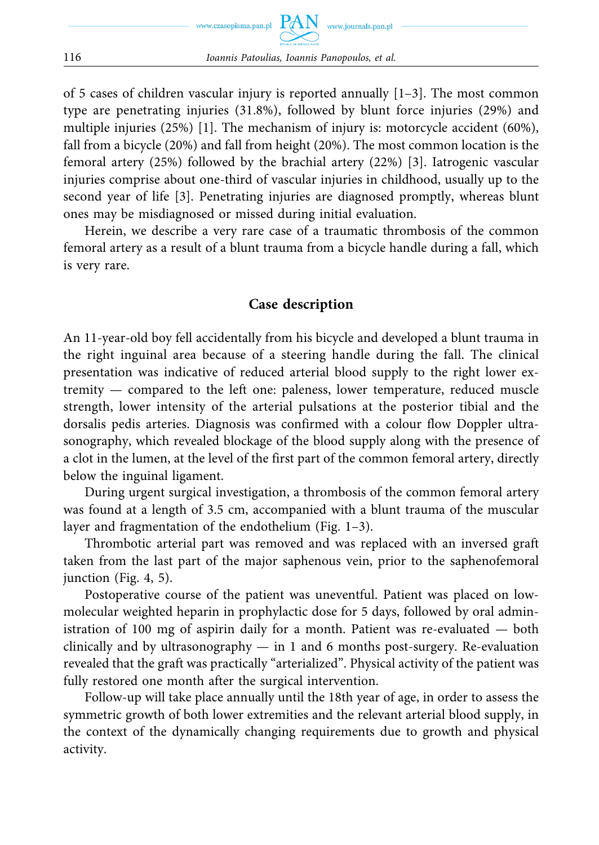of 5 cases of children vascular injury is reported annually  $[1-3]$ . The most common type are penetrating injuries (31.8%), followed by blunt force injuries (29%) and multiple injuries (25%) [1]. The mechanism of injury is: motorcycle accident (60%), fall from a bicycle (20%) and fall from height (20%). The most common location is the femoral artery (25%) followed by the brachial artery (22%) [3]. Iatrogenic vascular injuries comprise about one-third of vascular injuries in childhood, usually up to the second year of life [3]. Penetrating injuries are diagnosed promptly, whereas blunt ones may be misdiagnosed or missed during initial evaluation.

Herein, we describe a very rare case of a traumatic thrombosis of the common femoral artery as a result of a blunt trauma from a bicycle handle during a fall, which is very rare.

## **Case description**

An 11-year-old boy fell accidentally from his bicycle and developed a blunt trauma in the right inguinal area because of a steering handle during the fall. The clinical presentation was indicative of reduced arterial blood supply to the right lower extremity — compared to the left one: paleness, lower temperature, reduced muscle strength, lower intensity of the arterial pulsations at the posterior tibial and the dorsalis pedis arteries. Diagnosis was confirmed with a colour flow Doppler ultrasonography, which revealed blockage of the blood supply along with the presence of a clot in the lumen, at the level of the first part of the common femoral artery, directly below the inguinal ligament.

During urgent surgical investigation, a thrombosis of the common femoral artery was found at a length of 3.5 cm, accompanied with a blunt trauma of the muscular layer and fragmentation of the endothelium (Fig. 1–3).

Thrombotic arterial part was removed and was replaced with an inversed graft taken from the last part of the major saphenous vein, prior to the saphenofemoral junction (Fig. 4, 5).

Postoperative course of the patient was uneventful. Patient was placed on lowmolecular weighted heparin in prophylactic dose for 5 days, followed by oral administration of 100 mg of aspirin daily for a month. Patient was re-evaluated — both clinically and by ultrasonography — in 1 and 6 months post-surgery. Re-evaluation revealed that the graft was practically "arterialized". Physical activity of the patient was fully restored one month after the surgical intervention.

Follow-up will take place annually until the 18th year of age, in order to assess the symmetric growth of both lower extremities and the relevant arterial blood supply, in the context of the dynamically changing requirements due to growth and physical activity.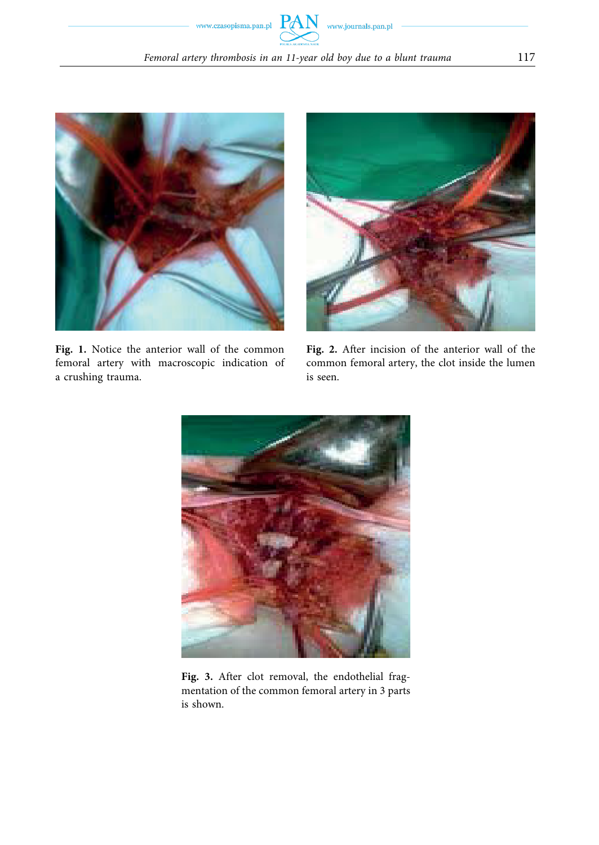



**Fig. 1.** Notice the anterior wall of the common femoral artery with macroscopic indication of a crushing trauma.



**Fig. 2.** After incision of the anterior wall of the common femoral artery, the clot inside the lumen is seen.



**Fig. 3.** After clot removal, the endothelial fragmentation of the common femoral artery in 3 parts is shown.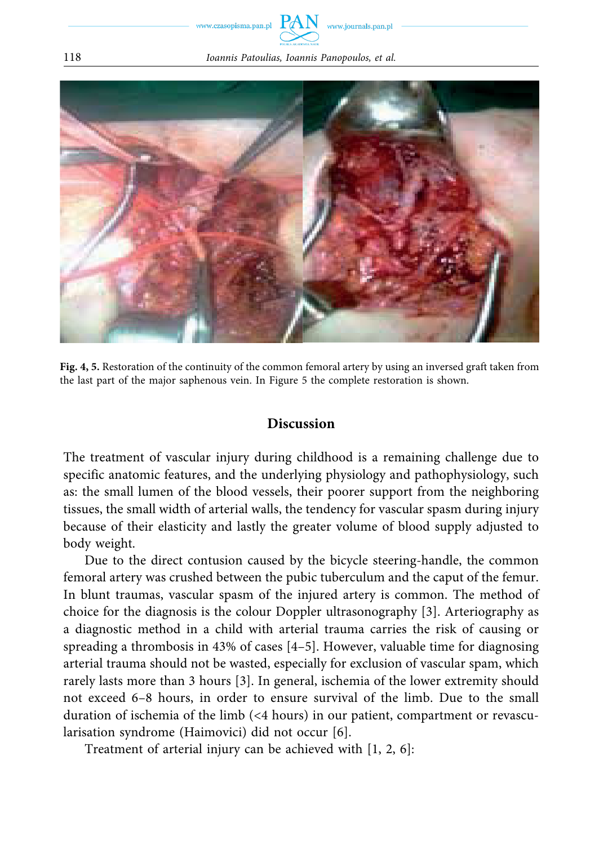www.czasopisma.pan.pl

118 *Ioannis Patoulias, Ioannis Panopoulos, et al.* 



**Fig. 4, 5.** Restoration of the continuity of the common femoral artery by using an inversed graft taken from the last part of the major saphenous vein. In Figure 5 the complete restoration is shown.

#### **Discussion**

The treatment of vascular injury during childhood is a remaining challenge due to specific anatomic features, and the underlying physiology and pathophysiology, such as: the small lumen of the blood vessels, their poorer support from the neighboring tissues, the small width of arterial walls, the tendency for vascular spasm during injury because of their elasticity and lastly the greater volume of blood supply adjusted to body weight.

Due to the direct contusion caused by the bicycle steering-handle, the common femoral artery was crushed between the pubic tuberculum and the caput of the femur. In blunt traumas, vascular spasm of the injured artery is common. The method of choice for the diagnosis is the colour Doppler ultrasonography [3]. Arteriography as a diagnostic method in a child with arterial trauma carries the risk of causing or spreading a thrombosis in  $43\%$  of cases  $[4-5]$ . However, valuable time for diagnosing arterial trauma should not be wasted, especially for exclusion of vascular spam, which rarely lasts more than 3 hours [3]. In general, ischemia of the lower extremity should not exceed 6–8 hours, in order to ensure survival of the limb. Due to the small duration of ischemia of the limb (<4 hours) in our patient, compartment or revascularisation syndrome (Haimovici) did not occur [6].

Treatment of arterial injury can be achieved with [1, 2, 6]: